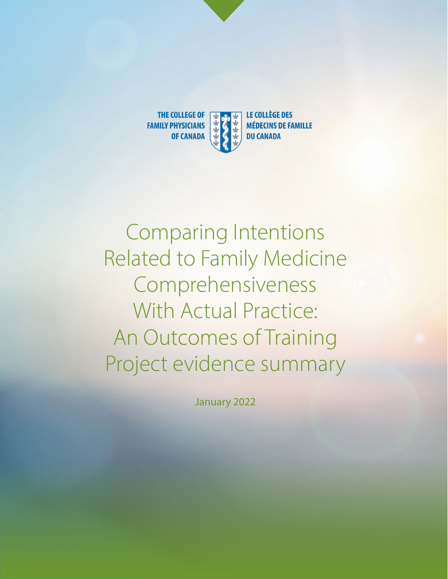

Comparing Intentions Related to Family Medicine Comprehensiveness With Actual Practice: An Outcomes of Training Project evidence summary

January 2022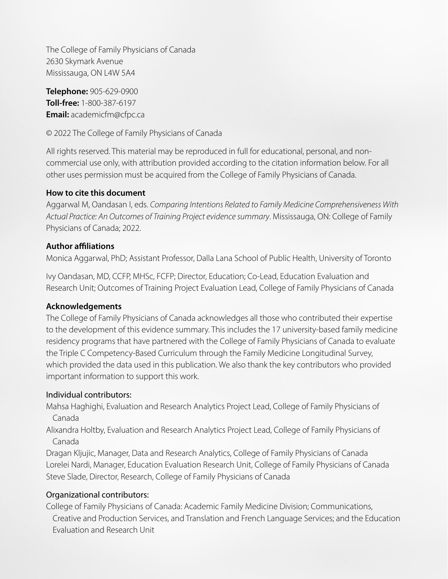The College of Family Physicians of Canada 2630 Skymark Avenue Mississauga, ON L4W 5A4

**Telephone:** 905-629-0900 **Toll-free:** 1-800-387-6197 **Email:** academicfm@cfpc.ca

© 2022 The College of Family Physicians of Canada

All rights reserved. This material may be reproduced in full for educational, personal, and noncommercial use only, with attribution provided according to the citation information below. For all other uses permission must be acquired from the College of Family Physicians of Canada.

#### **How to cite this document**

Aggarwal M, Oandasan I, eds. *Comparing Intentions Related to Family Medicine Comprehensiveness With Actual Practice: An Outcomes of Training Project evidence summary*. Mississauga, ON: College of Family Physicians of Canada; 2022.

#### **Author affiliations**

Monica Aggarwal, PhD; Assistant Professor, Dalla Lana School of Public Health, University of Toronto

Ivy Oandasan, MD, CCFP, MHSc, FCFP; Director, Education; Co-Lead, Education Evaluation and Research Unit; Outcomes of Training Project Evaluation Lead, College of Family Physicians of Canada

#### **Acknowledgements**

The College of Family Physicians of Canada acknowledges all those who contributed their expertise to the development of this evidence summary. This includes the 17 university-based family medicine residency programs that have partnered with the College of Family Physicians of Canada to evaluate the Triple C Competency-Based Curriculum through the Family Medicine Longitudinal Survey, which provided the data used in this publication. We also thank the key contributors who provided important information to support this work.

#### Individual contributors:

Mahsa Haghighi, Evaluation and Research Analytics Project Lead, College of Family Physicians of Canada

Alixandra Holtby, Evaluation and Research Analytics Project Lead, College of Family Physicians of Canada

Dragan Kljujic, Manager, Data and Research Analytics, College of Family Physicians of Canada Lorelei Nardi, Manager, Education Evaluation Research Unit, College of Family Physicians of Canada Steve Slade, Director, Research, College of Family Physicians of Canada

#### Organizational contributors:

College of Family Physicians of Canada: Academic Family Medicine Division; Communications, Creative and Production Services, and Translation and French Language Services; and the Education Evaluation and Research Unit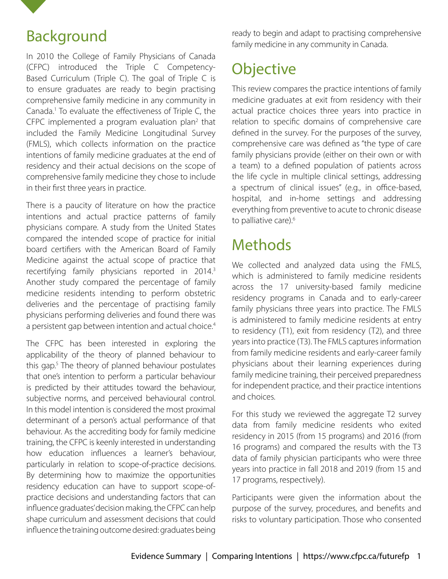

### Background

In 2010 the College of Family Physicians of Canada (CFPC) introduced the Triple C Competency-Based Curriculum (Triple C). The goal of Triple C is to ensure graduates are ready to begin practising comprehensive family medicine in any community in Canada.<sup>1</sup> To evaluate the effectiveness of Triple C, the CFPC implemented a program evaluation plan $2$  that included the Family Medicine Longitudinal Survey (FMLS), which collects information on the practice intentions of family medicine graduates at the end of residency and their actual decisions on the scope of comprehensive family medicine they chose to include in their first three years in practice.

There is a paucity of literature on how the practice intentions and actual practice patterns of family physicians compare. A study from the United States compared the intended scope of practice for initial board certifiers with the American Board of Family Medicine against the actual scope of practice that recertifying family physicians reported in 2014.<sup>3</sup> Another study compared the percentage of family medicine residents intending to perform obstetric deliveries and the percentage of practising family physicians performing deliveries and found there was a persistent gap between intention and actual choice.<sup>4</sup>

The CFPC has been interested in exploring the applicability of the theory of planned behaviour to this gap.5 The theory of planned behaviour postulates that one's intention to perform a particular behaviour is predicted by their attitudes toward the behaviour, subjective norms, and perceived behavioural control. In this model intention is considered the most proximal determinant of a person's actual performance of that behaviour. As the accrediting body for family medicine training, the CFPC is keenly interested in understanding how education influences a learner's behaviour, particularly in relation to scope-of-practice decisions. By determining how to maximize the opportunities residency education can have to support scope-ofpractice decisions and understanding factors that can influence graduates' decision making, the CFPC can help shape curriculum and assessment decisions that could influence the training outcome desired: graduates being

ready to begin and adapt to practising comprehensive family medicine in any community in Canada.

# **Objective**

This review compares the practice intentions of family medicine graduates at exit from residency with their actual practice choices three years into practice in relation to specific domains of comprehensive care defined in the survey. For the purposes of the survey, comprehensive care was defined as "the type of care family physicians provide (either on their own or with a team) to a defined population of patients across the life cycle in multiple clinical settings, addressing a spectrum of clinical issues" (e.g., in office-based, hospital, and in-home settings and addressing everything from preventive to acute to chronic disease to palliative care).<sup>6</sup>

# Methods

We collected and analyzed data using the FMLS, which is administered to family medicine residents across the 17 university-based family medicine residency programs in Canada and to early-career family physicians three years into practice. The FMLS is administered to family medicine residents at entry to residency (T1), exit from residency (T2), and three years into practice (T3). The FMLS captures information from family medicine residents and early-career family physicians about their learning experiences during family medicine training, their perceived preparedness for independent practice, and their practice intentions and choices.

For this study we reviewed the aggregate T2 survey data from family medicine residents who exited residency in 2015 (from 15 programs) and 2016 (from 16 programs) and compared the results with the T3 data of family physician participants who were three years into practice in fall 2018 and 2019 (from 15 and 17 programs, respectively).

Participants were given the information about the purpose of the survey, procedures, and benefits and risks to voluntary participation. Those who consented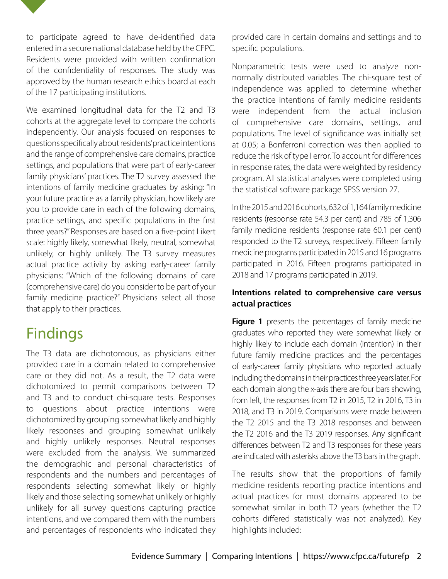

to participate agreed to have de-identified data entered in a secure national database held by the CFPC. Residents were provided with written confirmation of the confidentiality of responses. The study was approved by the human research ethics board at each of the 17 participating institutions.

We examined longitudinal data for the T2 and T3 cohorts at the aggregate level to compare the cohorts independently. Our analysis focused on responses to questions specifically about residents' practice intentions and the range of comprehensive care domains, practice settings, and populations that were part of early-career family physicians' practices. The T2 survey assessed the intentions of family medicine graduates by asking: "In your future practice as a family physician, how likely are you to provide care in each of the following domains, practice settings, and specific populations in the first three years?" Responses are based on a five-point Likert scale: highly likely, somewhat likely, neutral, somewhat unlikely, or highly unlikely. The T3 survey measures actual practice activity by asking early-career family physicians: "Which of the following domains of care (comprehensive care) do you consider to be part of your family medicine practice?" Physicians select all those that apply to their practices.

# Findings

The T3 data are dichotomous, as physicians either provided care in a domain related to comprehensive care or they did not. As a result, the T2 data were dichotomized to permit comparisons between T2 and T3 and to conduct chi-square tests. Responses to questions about practice intentions were dichotomized by grouping somewhat likely and highly likely responses and grouping somewhat unlikely and highly unlikely responses. Neutral responses were excluded from the analysis. We summarized the demographic and personal characteristics of respondents and the numbers and percentages of respondents selecting somewhat likely or highly likely and those selecting somewhat unlikely or highly unlikely for all survey questions capturing practice intentions, and we compared them with the numbers and percentages of respondents who indicated they

provided care in certain domains and settings and to specific populations.

Nonparametric tests were used to analyze nonnormally distributed variables. The chi-square test of independence was applied to determine whether the practice intentions of family medicine residents were independent from the actual inclusion of comprehensive care domains, settings, and populations. The level of significance was initially set at 0.05; a Bonferroni correction was then applied to reduce the risk of type I error. To account for differences in response rates, the data were weighted by residency program. All statistical analyses were completed using the statistical software package SPSS version 27.

In the 2015 and 2016 cohorts, 632 of 1,164 family medicine residents (response rate 54.3 per cent) and 785 of 1,306 family medicine residents (response rate 60.1 per cent) responded to the T2 surveys, respectively. Fifteen family medicine programs participated in 2015 and 16 programs participated in 2016. Fifteen programs participated in 2018 and 17 programs participated in 2019.

#### **Intentions related to comprehensive care versus actual practices**

**Figure 1** presents the percentages of family medicine graduates who reported they were somewhat likely or highly likely to include each domain (intention) in their future family medicine practices and the percentages of early-career family physicians who reported actually including the domains in their practices three years later. For each domain along the x-axis there are four bars showing, from left, the responses from T2 in 2015, T2 in 2016, T3 in 2018, and T3 in 2019. Comparisons were made between the T2 2015 and the T3 2018 responses and between the T2 2016 and the T3 2019 responses. Any significant differences between T2 and T3 responses for these years are indicated with asterisks above the T3 bars in the graph.

The results show that the proportions of family medicine residents reporting practice intentions and actual practices for most domains appeared to be somewhat similar in both T2 years (whether the T2 cohorts differed statistically was not analyzed). Key highlights included: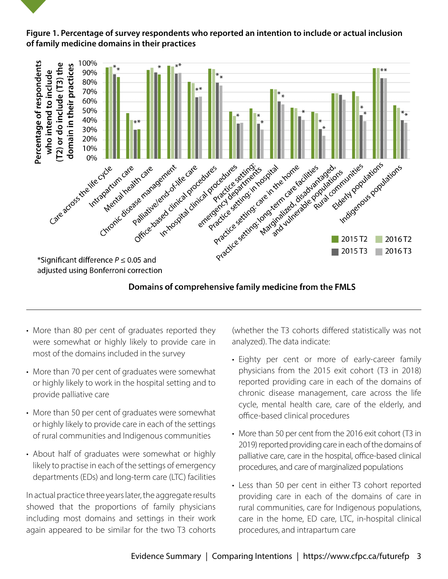#### **Figure 1. Percentage of survey respondents who reported an intention to include or actual inclusion of family medicine domains in their practices**



#### Domains of comprehensive family medicine from the FMLS

- More than 80 per cent of graduates reported they were somewhat or highly likely to provide care in most of the domains included in the survey
- More than 70 per cent of graduates were somewhat or highly likely to work in the hospital setting and to provide palliative care
- More than 50 per cent of graduates were somewhat or highly likely to provide care in each of the settings of rural communities and Indigenous communities
- About half of graduates were somewhat or highly likely to practise in each of the settings of emergency departments (EDs) and long-term care (LTC) facilities

In actual practice three years later, the aggregate results showed that the proportions of family physicians including most domains and settings in their work again appeared to be similar for the two T3 cohorts (whether the T3 cohorts differed statistically was not analyzed). The data indicate:

- Eighty per cent or more of early-career family physicians from the 2015 exit cohort (T3 in 2018) reported providing care in each of the domains of chronic disease management, care across the life cycle, mental health care, care of the elderly, and office-based clinical procedures
- More than 50 per cent from the 2016 exit cohort (T3 in 2019) reported providing care in each of the domains of palliative care, care in the hospital, office-based clinical procedures, and care of marginalized populations
- Less than 50 per cent in either T3 cohort reported providing care in each of the domains of care in rural communities, care for Indigenous populations, care in the home, ED care, LTC, in-hospital clinical procedures, and intrapartum care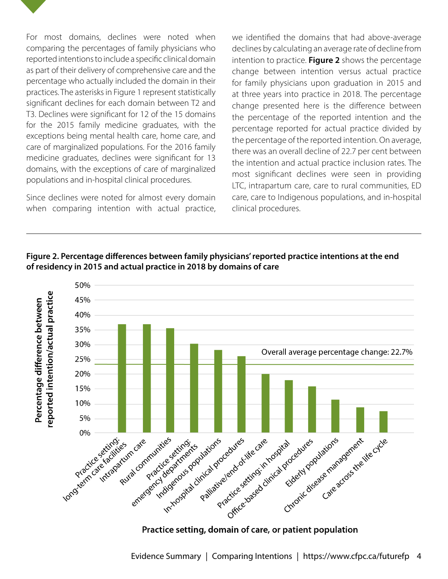

For most domains, declines were noted when comparing the percentages of family physicians who reported intentions to include a specific clinical domain as part of their delivery of comprehensive care and the percentage who actually included the domain in their practices. The asterisks in Figure 1 represent statistically significant declines for each domain between T2 and T3. Declines were significant for 12 of the 15 domains for the 2015 family medicine graduates, with the exceptions being mental health care, home care, and care of marginalized populations. For the 2016 family medicine graduates, declines were significant for 13 domains, with the exceptions of care of marginalized populations and in-hospital clinical procedures.

Since declines were noted for almost every domain when comparing intention with actual practice, we identified the domains that had above-average declines by calculating an average rate of decline from intention to practice. **Figure 2** shows the percentage change between intention versus actual practice for family physicians upon graduation in 2015 and at three years into practice in 2018. The percentage change presented here is the difference between the percentage of the reported intention and the percentage reported for actual practice divided by the percentage of the reported intention. On average, there was an overall decline of 22.7 per cent between the intention and actual practice inclusion rates. The most significant declines were seen in providing LTC, intrapartum care, care to rural communities, ED care, care to Indigenous populations, and in-hospital clinical procedures.



**Figure 2. Percentage differences between family physicians' reported practice intentions at the end of residency in 2015 and actual practice in 2018 by domains of care**

Practice setting, domain of care, or patient population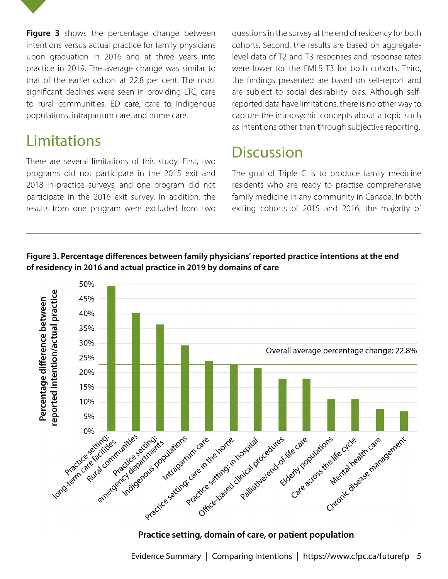**Figure 3** shows the percentage change between intentions versus actual practice for family physicians upon graduation in 2016 and at three years into practice in 2019. The average change was similar to that of the earlier cohort at 22.8 per cent. The most significant declines were seen in providing LTC, care to rural communities, ED care, care to Indigenous populations, intrapartum care, and home care.

### Limitations

There are several limitations of this study. First, two programs did not participate in the 2015 exit and 2018 in-practice surveys, and one program did not participate in the 2016 exit survey. In addition, the results from one program were excluded from two questions in the survey at the end of residency for both cohorts. Second, the results are based on aggregatelevel data of T2 and T3 responses and response rates were lower for the FMLS T3 for both cohorts. Third, the findings presented are based on self-report and are subject to social desirability bias. Although selfreported data have limitations, there is no other way to capture the intrapsychic concepts about a topic such as intentions other than through subjective reporting.

# **Discussion**

The goal of Triple C is to produce family medicine residents who are ready to practise comprehensive family medicine in any community in Canada. In both exiting cohorts of 2015 and 2016, the majority of





#### Practice setting, domain of care, or patient population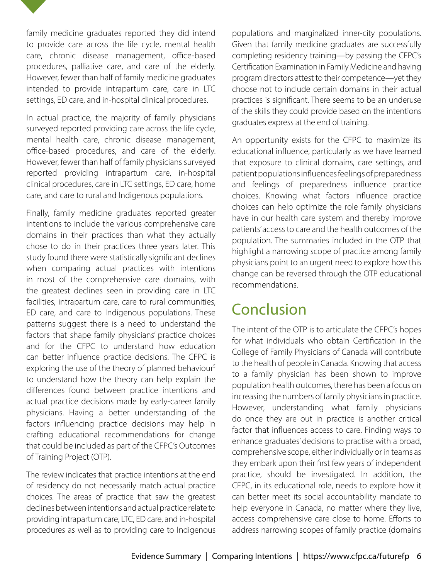

family medicine graduates reported they did intend to provide care across the life cycle, mental health care, chronic disease management, office-based procedures, palliative care, and care of the elderly. However, fewer than half of family medicine graduates intended to provide intrapartum care, care in LTC settings, ED care, and in-hospital clinical procedures.

In actual practice, the majority of family physicians surveyed reported providing care across the life cycle, mental health care, chronic disease management, office-based procedures, and care of the elderly. However, fewer than half of family physicians surveyed reported providing intrapartum care, in-hospital clinical procedures, care in LTC settings, ED care, home care, and care to rural and Indigenous populations.

Finally, family medicine graduates reported greater intentions to include the various comprehensive care domains in their practices than what they actually chose to do in their practices three years later. This study found there were statistically significant declines when comparing actual practices with intentions in most of the comprehensive care domains, with the greatest declines seen in providing care in LTC facilities, intrapartum care, care to rural communities, ED care, and care to Indigenous populations. These patterns suggest there is a need to understand the factors that shape family physicians' practice choices and for the CFPC to understand how education can better influence practice decisions. The CFPC is exploring the use of the theory of planned behaviour<sup>5</sup> to understand how the theory can help explain the differences found between practice intentions and actual practice decisions made by early-career family physicians. Having a better understanding of the factors influencing practice decisions may help in crafting educational recommendations for change that could be included as part of the CFPC's Outcomes of Training Project (OTP).

The review indicates that practice intentions at the end of residency do not necessarily match actual practice choices. The areas of practice that saw the greatest declines between intentions and actual practice relate to providing intrapartum care, LTC, ED care, and in-hospital procedures as well as to providing care to Indigenous

populations and marginalized inner-city populations. Given that family medicine graduates are successfully completing residency training—by passing the CFPC's Certification Examination in Family Medicine and having program directors attest to their competence—yet they choose not to include certain domains in their actual practices is significant. There seems to be an underuse of the skills they could provide based on the intentions graduates express at the end of training.

An opportunity exists for the CFPC to maximize its educational influence, particularly as we have learned that exposure to clinical domains, care settings, and patient populations influences feelings of preparedness and feelings of preparedness influence practice choices. Knowing what factors influence practice choices can help optimize the role family physicians have in our health care system and thereby improve patients' access to care and the health outcomes of the population. The summaries included in the OTP that highlight a narrowing scope of practice among family physicians point to an urgent need to explore how this change can be reversed through the OTP educational recommendations.

# Conclusion

The intent of the OTP is to articulate the CFPC's hopes for what individuals who obtain Certification in the College of Family Physicians of Canada will contribute to the health of people in Canada. Knowing that access to a family physician has been shown to improve population health outcomes, there has been a focus on increasing the numbers of family physicians in practice. However, understanding what family physicians do once they are out in practice is another critical factor that influences access to care. Finding ways to enhance graduates' decisions to practise with a broad, comprehensive scope, either individually or in teams as they embark upon their first few years of independent practice, should be investigated. In addition, the CFPC, in its educational role, needs to explore how it can better meet its social accountability mandate to help everyone in Canada, no matter where they live, access comprehensive care close to home. Efforts to address narrowing scopes of family practice (domains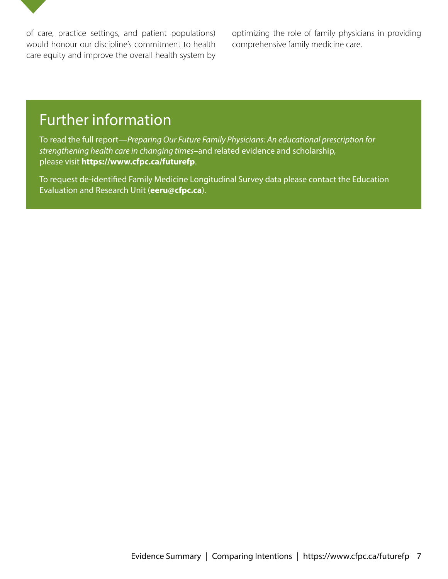

optimizing the role of family physicians in providing comprehensive family medicine care.

### Further information

To read the full report—*Preparing Our Future Family Physicians: An educational prescription for strengthening health care in changing times*–and related evidence and scholarship, please visit **https://www.cfpc.ca/futurefp**.

To request de-identified Family Medicine Longitudinal Survey data please contact the Education Evaluation and Research Unit (**eeru@cfpc.ca**).